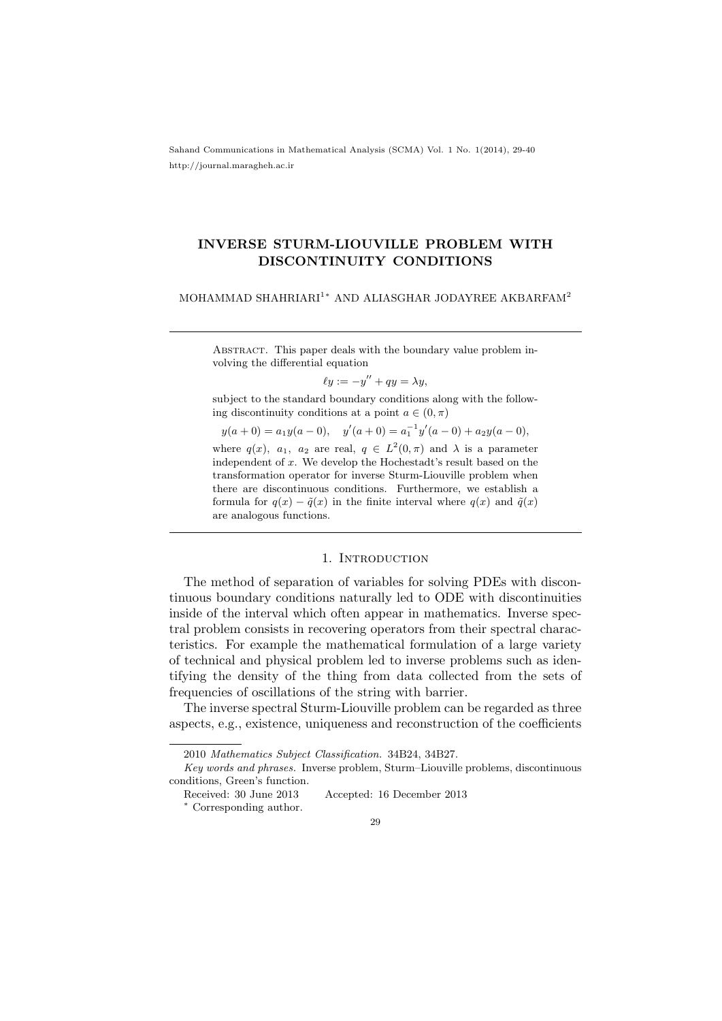Sahand Communications in Mathematical Analysis (SCMA) Vol. 1 No. 1(2014), 29-40 http://journal.maragheh.ac.ir

## INVERSE STURM-LIOUVILLE PROBLEM WITH DISCONTINUITY CONDITIONS

MOHAMMAD SHAHRIARI<sup>1</sup><sup>∗</sup> AND ALIASGHAR JODAYREE AKBARFAM<sup>2</sup>

Abstract. This paper deals with the boundary value problem involving the differential equation

$$
\ell y := -y'' + qy = \lambda y,
$$

subject to the standard boundary conditions along with the following discontinuity conditions at a point  $a \in (0, \pi)$ 

 $y(a+0) = a_1y(a-0), \quad y'(a+0) = a_1^{-1}y'(a-0) + a_2y(a-0),$ where  $q(x)$ ,  $a_1$ ,  $a_2$  are real,  $q \in L^2(0, \pi)$  and  $\lambda$  is a parameter independent of x. We develop the Hochestadt's result based on the transformation operator for inverse Sturm-Liouville problem when there are discontinuous conditions. Furthermore, we establish a

formula for  $q(x) - \tilde{q}(x)$  in the finite interval where  $q(x)$  and  $\tilde{q}(x)$ 

## 1. INTRODUCTION

The method of separation of variables for solving PDEs with discontinuous boundary conditions naturally led to ODE with discontinuities inside of the interval which often appear in mathematics. Inverse spectral problem consists in recovering operators from their spectral characteristics. For example the mathematical formulation of a large variety of technical and physical problem led to inverse problems such as identifying the density of the thing from data collected from the sets of frequencies of oscillations of the string with barrier.

The inverse spectral Sturm-Liouville problem can be regarded as three aspects, e.g., existence, uniqueness and reconstruction of the coefficients

are analogous functions.

<sup>2010</sup> Mathematics Subject Classification. 34B24, 34B27.

Key words and phrases. Inverse problem, Sturm–Liouville problems, discontinuous conditions, Green's function.

Received: 30 June 2013 Accepted: 16 December 2013

<sup>∗</sup> Corresponding author.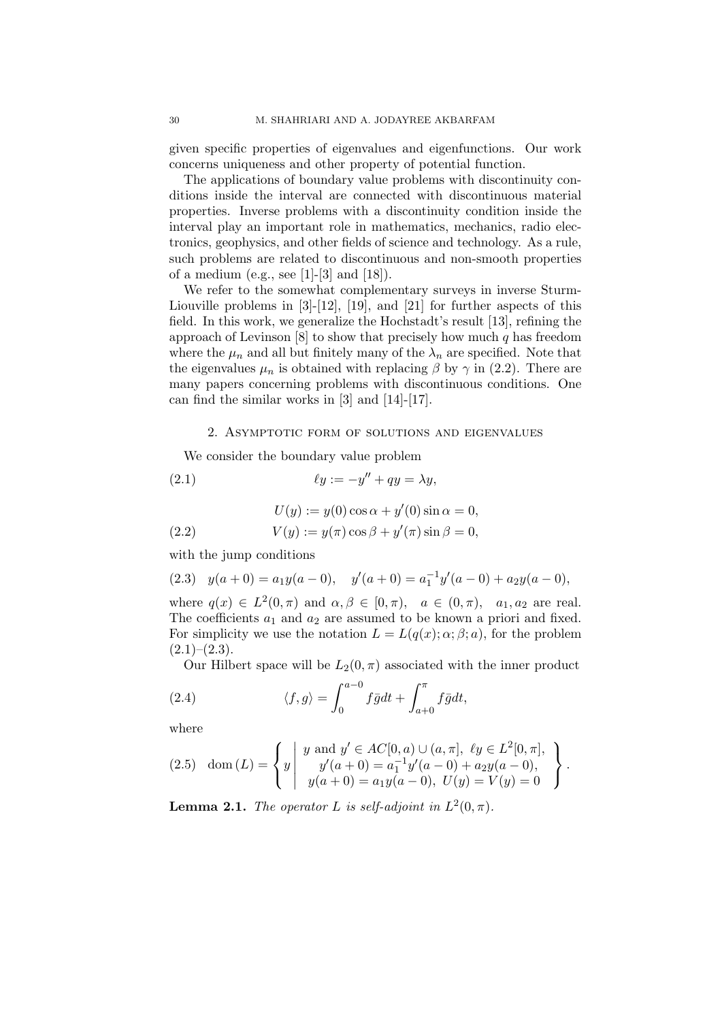given specific properties of eigenvalues and eigenfunctions. Our work concerns uniqueness and other property of potential function.

The applications of boundary value problems with discontinuity conditions inside the interval are connected with discontinuous material properties. Inverse problems with a discontinuity condition inside the interval play an important role in mathematics, mechanics, radio electronics, geophysics, and other fields of science and technology. As a rule, such problems are related to discontinuous and non-smooth properties of a medium (e.g., see [1]-[3] and [18]).

We refer to the somewhat complementary surveys in inverse Sturm-Liouville problems in [3]-[12], [19], and [21] for further aspects of this field. In this work, we generalize the Hochstadt's result [13], refining the approach of Levinson  $[8]$  to show that precisely how much q has freedom where the  $\mu_n$  and all but finitely many of the  $\lambda_n$  are specified. Note that the eigenvalues  $\mu_n$  is obtained with replacing  $\beta$  by  $\gamma$  in (2.2). There are many papers concerning problems with discontinuous conditions. One can find the similar works in [3] and [14]-[17].

### 2. Asymptotic form of solutions and eigenvalues

We consider the boundary value problem

(2.1) 
$$
\ell y := -y'' + qy = \lambda y,
$$

$$
U(y) := y(0)\cos\alpha + y'(0)\sin\alpha = 0,
$$

(2.2) 
$$
V(y) := y(\pi) \cos \beta + y'(\pi) \sin \beta = 0,
$$

with the jump conditions

$$
(2.3) \quad y(a+0) = a_1y(a-0), \quad y'(a+0) = a_1^{-1}y'(a-0) + a_2y(a-0),
$$

where  $q(x) \in L^2(0, \pi)$  and  $\alpha, \beta \in [0, \pi)$ ,  $a \in (0, \pi)$ ,  $a_1, a_2$  are real. The coefficients  $a_1$  and  $a_2$  are assumed to be known a priori and fixed. For simplicity we use the notation  $L = L(q(x); \alpha; \beta; a)$ , for the problem  $(2.1)$ – $(2.3)$ .

Our Hilbert space will be  $L_2(0, \pi)$  associated with the inner product

(2.4) 
$$
\langle f, g \rangle = \int_0^{a-0} f \bar{g} dt + \int_{a+0}^{\pi} f \bar{g} dt,
$$

where

$$
(2.5) \quad \text{dom}\,(L) = \left\{ y \middle| \begin{array}{c} y \text{ and } y' \in AC[0, a) \cup (a, \pi], \ \ell y \in L^2[0, \pi], \\ y'(a + 0) = a_1^{-1} y'(a - 0) + a_2 y(a - 0), \\ y(a + 0) = a_1 y(a - 0), \ U(y) = V(y) = 0 \end{array} \right\}.
$$

**Lemma 2.1.** The operator L is self-adjoint in  $L^2(0, \pi)$ .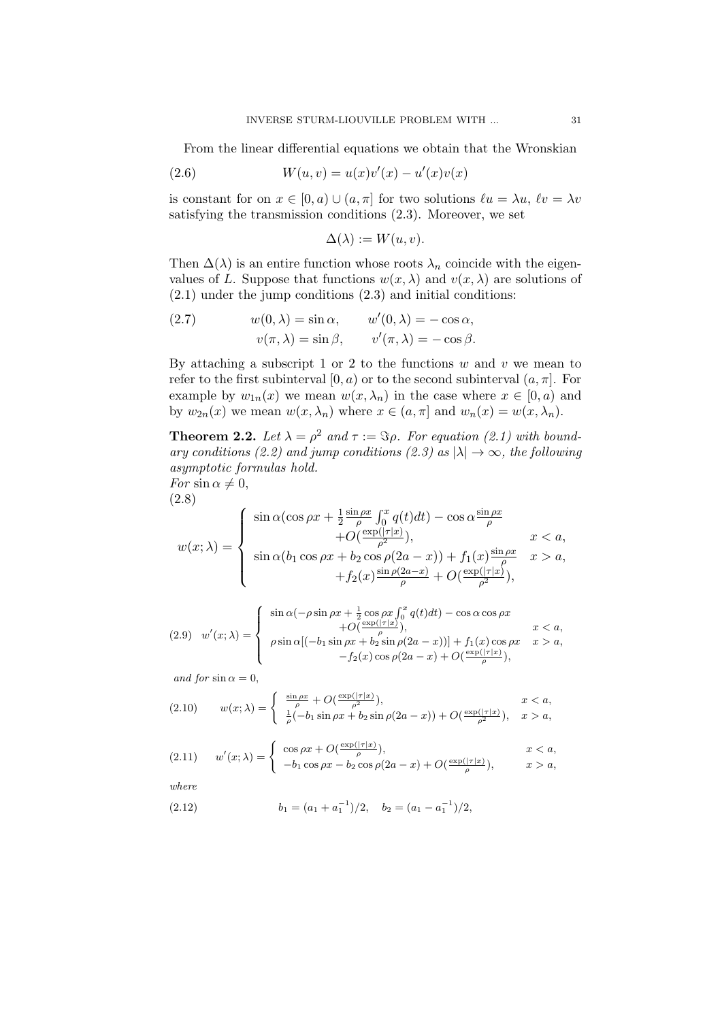From the linear differential equations we obtain that the Wronskian

(2.6) 
$$
W(u, v) = u(x)v'(x) - u'(x)v(x)
$$

is constant for on  $x \in [0, a) \cup (a, \pi]$  for two solutions  $\ell u = \lambda u$ ,  $\ell v = \lambda v$ satisfying the transmission conditions (2.3). Moreover, we set

$$
\Delta(\lambda) := W(u, v).
$$

Then  $\Delta(\lambda)$  is an entire function whose roots  $\lambda_n$  coincide with the eigenvalues of L. Suppose that functions  $w(x, \lambda)$  and  $v(x, \lambda)$  are solutions of (2.1) under the jump conditions (2.3) and initial conditions:

(2.7) 
$$
w(0, \lambda) = \sin \alpha, \qquad w'(0, \lambda) = -\cos \alpha, v(\pi, \lambda) = \sin \beta, \qquad v'(\pi, \lambda) = -\cos \beta.
$$

By attaching a subscript 1 or 2 to the functions  $w$  and  $v$  we mean to refer to the first subinterval  $[0, a)$  or to the second subinterval  $(a, \pi]$ . For example by  $w_{1n}(x)$  we mean  $w(x, \lambda_n)$  in the case where  $x \in [0, a)$  and by  $w_{2n}(x)$  we mean  $w(x, \lambda_n)$  where  $x \in (a, \pi]$  and  $w_n(x) = w(x, \lambda_n)$ .

**Theorem 2.2.** Let  $\lambda = \rho^2$  and  $\tau := \Im \rho$ . For equation (2.1) with boundary conditions (2.2) and jump conditions (2.3) as  $|\lambda| \to \infty$ , the following asymptotic formulas hold. For  $\sin \alpha \neq 0$ ,

$$
(2.8)
$$

$$
w(x; \lambda) = \begin{cases} \sin \alpha (\cos \rho x + \frac{1}{2} \frac{\sin \rho x}{\rho} \int_0^x q(t) dt) - \cos \alpha \frac{\sin \rho x}{\rho} \\ + O(\frac{\exp(|\tau|x)}{\rho^2}), & x < a, \\ \sin \alpha (b_1 \cos \rho x + b_2 \cos \rho (2a - x)) + f_1(x) \frac{\sin \rho x}{\rho} & x > a, \\ + f_2(x) \frac{\sin \rho (2a - x)}{\rho} + O(\frac{\exp(|\tau|x)}{\rho^2}), \end{cases}
$$

$$
(2.9) \quad w'(x;\lambda) = \begin{cases} \sin \alpha(-\rho \sin \rho x + \frac{1}{2} \cos \rho x \int_0^x q(t)dt) - \cos \alpha \cos \rho x \\ \rho \sin \alpha [(-b_1 \sin \rho x + b_2 \sin \rho (2a - x))] + f_1(x) \cos \rho x & x > a, \\ \rho \sin \alpha [(-b_1 \sin \rho x + b_2 \sin \rho (2a - x)) + O(\frac{\exp(|\tau|x|)}{\rho}), \end{cases}
$$

and for  $\sin \alpha = 0$ ,

(2.10) 
$$
w(x; \lambda) = \begin{cases} \frac{\sin \rho x}{\rho} + O(\frac{\exp(|\tau|x)}{\rho^2}), & x < a, \\ \frac{1}{\rho}(-b_1 \sin \rho x + b_2 \sin \rho (2a - x)) + O(\frac{\exp(|\tau|x)}{\rho^2}), & x > a, \end{cases}
$$

$$
(2.11) \t w'(x; \lambda) = \begin{cases} \cos \rho x + O(\frac{\exp(|\tau|x)}{\rho}), & x < a, \\ -b_1 \cos \rho x - b_2 \cos \rho (2a - x) + O(\frac{\exp(|\tau|x)}{\rho}), & x > a, \end{cases}
$$

where

(2.12) 
$$
b_1 = (a_1 + a_1^{-1})/2, \quad b_2 = (a_1 - a_1^{-1})/2,
$$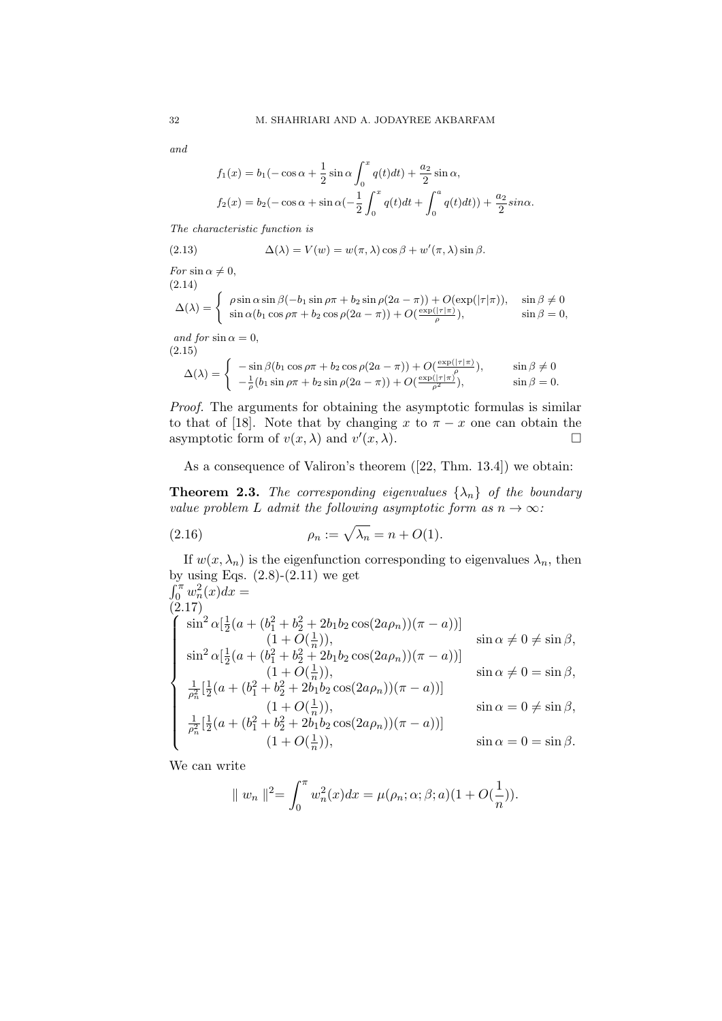and

$$
f_1(x) = b_1(-\cos \alpha + \frac{1}{2}\sin \alpha \int_0^x q(t)dt) + \frac{a_2}{2}\sin \alpha,
$$
  

$$
f_2(x) = b_2(-\cos \alpha + \sin \alpha(-\frac{1}{2}\int_0^x q(t)dt) + \int_0^a q(t)dt) + \frac{a_2}{2}\sin \alpha.
$$

The characteristic function is

(2.13) 
$$
\Delta(\lambda) = V(w) = w(\pi, \lambda) \cos \beta + w'(\pi, \lambda) \sin \beta.
$$

For  $\sin \alpha \neq 0$ , (2.14)  $\Delta(\lambda) = \begin{cases} \rho \sin \alpha \sin \beta (-b_1 \sin \rho \pi + b_2 \sin \rho (2a - \pi)) + O(\exp(|\tau|\pi)), & \sin \beta \neq 0 \\ \sin \alpha (b_1 \cos \beta - b_1 \sin \rho (2a - \pi)) + O(\exp(|\tau|\pi)), & \sin \beta = 0 \end{cases}$  $\sin \alpha (b_1 \cos \rho \pi + b_2 \cos \rho (2a - \pi)) + O(\frac{\exp(|\tau|\pi)}{\rho}),$   $\sin \beta = 0,$ 

and for  $\sin \alpha = 0$ , (2.15)

$$
\Delta(\lambda) = \begin{cases}\n-\sin\beta(b_1\cos\rho\pi + b_2\cos\rho(2a-\pi)) + O(\frac{\exp(|\tau|\pi)}{\rho}), & \sin\beta \neq 0 \\
-\frac{1}{\rho}(b_1\sin\rho\pi + b_2\sin\rho(2a-\pi)) + O(\frac{\exp(|\tau|\pi)}{\rho^2}), & \sin\beta = 0.\n\end{cases}
$$

Proof. The arguments for obtaining the asymptotic formulas is similar to that of [18]. Note that by changing x to  $\pi - x$  one can obtain the asymptotic form of  $v(x, \lambda)$  and  $v'(x, \lambda)$ .

As a consequence of Valiron's theorem ([22, Thm. 13.4]) we obtain:

**Theorem 2.3.** The corresponding eigenvalues  $\{\lambda_n\}$  of the boundary value problem L admit the following asymptotic form as  $n \to \infty$ :

(2.16) 
$$
\rho_n := \sqrt{\lambda_n} = n + O(1).
$$

If  $w(x, \lambda_n)$  is the eigenfunction corresponding to eigenvalues  $\lambda_n$ , then by using Eqs.  $(2.8)-(2.11)$  we get  $\int_0^{\pi} w_n^2(x) dx =$ (2.17)  $\sqrt{ }$  $\begin{array}{c} \hline \end{array}$  $\begin{array}{c} \hline \end{array}$  $\sin^2 \alpha \left[\frac{1}{2}\right]$  $\frac{1}{2}(a + (b_1^2 + b_2^2 + 2b_1b_2\cos(2a\rho_n))(\pi - a))]$  $(1 + O(\frac{1}{n})$  $(\frac{1}{n})$ , sin  $\alpha \neq 0 \neq \sin \beta$ ,  $\sin^2 \alpha \left[\frac{1}{2}\right]$  $\frac{1}{2}(a + (b_1^2 + b_2^2 + 2b_1b_2\cos(2a\rho_n))(\pi - a))]$  $(1 + O(\frac{1}{n})$  $(\frac{1}{n})$ , sin  $\alpha \neq 0 = \sin \beta$ , 1  $\frac{1}{\rho_n^2}$ [ $\frac{1}{2}$  $\frac{1}{2}(a + (b_1^2 + b_2^2 + 2b_1b_2\cos(2a\rho_n))(\pi - a))]$  $(1 + O(\frac{1}{n})$  $\frac{1}{n}$ ), sin  $\alpha = 0 \neq \sin \beta$ , 1  $\frac{1}{\rho_n^2}$ [ $\frac{1}{2}$  $\frac{1}{2}(a + (b_1^2 + b_2^2 + 2b_1b_2\cos(2a\rho_n))(\pi - a))]$  $(1 + O(\frac{1}{n})$  $(\frac{1}{n})$ , sin  $\alpha = 0 = \sin \beta$ .

We can write

$$
\| w_n \|^2 = \int_0^{\pi} w_n^2(x) dx = \mu(\rho_n; \alpha; \beta; a)(1 + O(\frac{1}{n})).
$$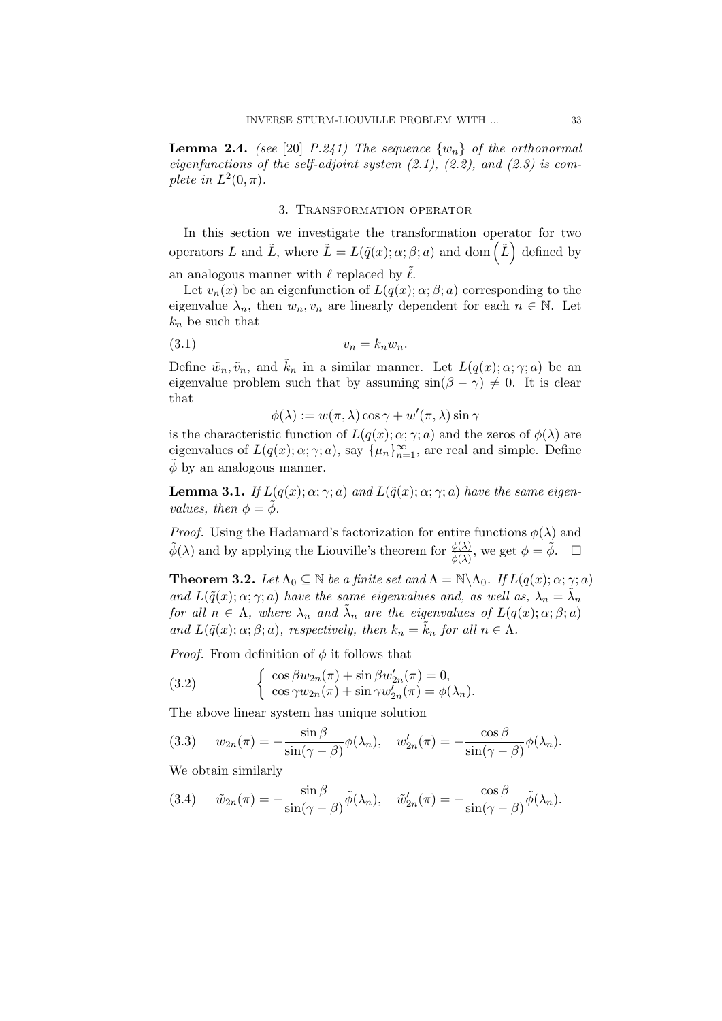**Lemma 2.4.** (see [20] P.241) The sequence  $\{w_n\}$  of the orthonormal eigenfunctions of the self-adjoint system  $(2.1)$ ,  $(2.2)$ , and  $(2.3)$  is complete in  $L^2(0, \pi)$ .

## 3. Transformation operator

In this section we investigate the transformation operator for two operators L and  $\tilde{L}$ , where  $\tilde{L} = L(\tilde{q}(x); \alpha; \beta; a)$  and dom  $(\tilde{L})$  defined by an analogous manner with  $\ell$  replaced by  $\tilde{\ell}$ .

Let  $v_n(x)$  be an eigenfunction of  $L(q(x); \alpha; \beta; a)$  corresponding to the eigenvalue  $\lambda_n$ , then  $w_n, v_n$  are linearly dependent for each  $n \in \mathbb{N}$ . Let  $k_n$  be such that

$$
(3.1) \t\t v_n = k_n w_n.
$$

Define  $\tilde{w}_n, \tilde{v}_n$ , and  $\tilde{k}_n$  in a similar manner. Let  $L(q(x); \alpha; \gamma; a)$  be an eigenvalue problem such that by assuming  $sin(\beta - \gamma) \neq 0$ . It is clear that

 $\phi(\lambda) := w(\pi, \lambda) \cos \gamma + w'(\pi, \lambda) \sin \gamma$ 

is the characteristic function of  $L(q(x); \alpha; \gamma; a)$  and the zeros of  $\phi(\lambda)$  are eigenvalues of  $L(q(x); \alpha; \gamma; a)$ , say  $\{\mu_n\}_{n=1}^{\infty}$ , are real and simple. Define  $\phi$  by an analogous manner.

**Lemma 3.1.** If  $L(q(x); \alpha; \gamma; a)$  and  $L(\tilde{q}(x); \alpha; \gamma; a)$  have the same eigenvalues, then  $\phi = \phi$ .

*Proof.* Using the Hadamard's factorization for entire functions  $\phi(\lambda)$  and  $\tilde{\phi}(\lambda)$  and by applying the Liouville's theorem for  $\frac{\phi(\lambda)}{\tilde{\phi}(\lambda)}$ , we get  $\phi = \tilde{\phi}$ .

**Theorem 3.2.** Let  $\Lambda_0 \subseteq \mathbb{N}$  be a finite set and  $\Lambda = \mathbb{N} \backslash \Lambda_0$ . If  $L(q(x); \alpha; \gamma; a)$ and  $L(\tilde{q}(x); \alpha; \gamma; a)$  have the same eigenvalues and, as well as,  $\lambda_n = \tilde{\lambda}_n$ for all  $n \in \Lambda$ , where  $\lambda_n$  and  $\tilde{\lambda}_n$  are the eigenvalues of  $L(q(x); \alpha; \beta; a)$ and  $L(\tilde{q}(x); \alpha; \beta; a)$ , respectively, then  $k_n = \tilde{k}_n$  for all  $n \in \Lambda$ .

*Proof.* From definition of  $\phi$  it follows that

(3.2) 
$$
\begin{cases} \cos \beta w_{2n}(\pi) + \sin \beta w'_{2n}(\pi) = 0, \\ \cos \gamma w_{2n}(\pi) + \sin \gamma w'_{2n}(\pi) = \phi(\lambda_n). \end{cases}
$$

The above linear system has unique solution

(3.3) 
$$
w_{2n}(\pi) = -\frac{\sin \beta}{\sin(\gamma - \beta)} \phi(\lambda_n), \quad w'_{2n}(\pi) = -\frac{\cos \beta}{\sin(\gamma - \beta)} \phi(\lambda_n).
$$

We obtain similarly

(3.4) 
$$
\tilde{w}_{2n}(\pi) = -\frac{\sin \beta}{\sin(\gamma - \beta)} \tilde{\phi}(\lambda_n), \quad \tilde{w}'_{2n}(\pi) = -\frac{\cos \beta}{\sin(\gamma - \beta)} \tilde{\phi}(\lambda_n).
$$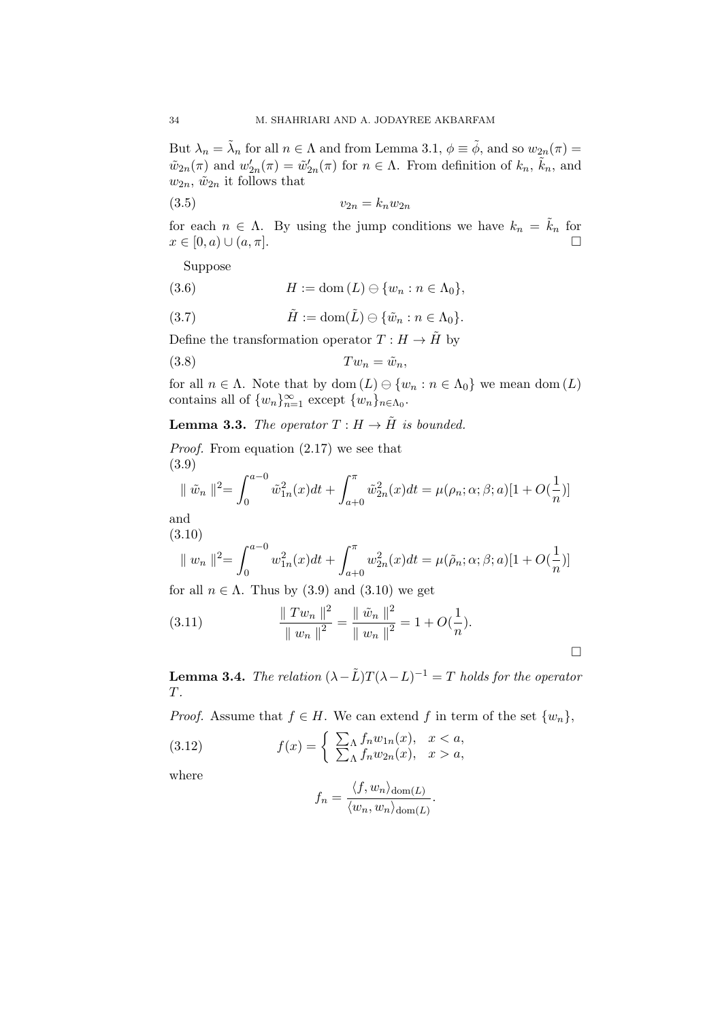But  $\lambda_n = \tilde{\lambda}_n$  for all  $n \in \Lambda$  and from Lemma 3.1,  $\phi \equiv \tilde{\phi}$ , and so  $w_{2n}(\pi) =$  $\tilde{w}_{2n}(\pi)$  and  $w'_{2n}(\pi) = \tilde{w}'_{2n}(\pi)$  for  $n \in \Lambda$ . From definition of  $k_n$ ,  $\tilde{k}_n$ , and  $w_{2n}$ ,  $\tilde{w}_{2n}$  it follows that

$$
(3.5) \t\t v_{2n} = k_n w_{2n}
$$

for each  $n \in \Lambda$ . By using the jump conditions we have  $k_n = k_n$  for  $x \in [0, a) \cup (a, \pi].$ 

Suppose

(3.6) H := dom (L) {w<sup>n</sup> : n ∈ Λ0},

(3.7) 
$$
\tilde{H} := \text{dom}(\tilde{L}) \ominus \{\tilde{w}_n : n \in \Lambda_0\}.
$$

Define the transformation operator  $T : H \to \tilde{H}$  by

$$
(3.8) \t Tw_n = \tilde{w}_n,
$$

for all  $n \in \Lambda$ . Note that by dom  $(L) \ominus \{w_n : n \in \Lambda_0\}$  we mean dom  $(L)$ contains all of  $\{w_n\}_{n=1}^{\infty}$  except  $\{w_n\}_{n \in \Lambda_0}$ .

# **Lemma 3.3.** The operator  $T : H \to \tilde{H}$  is bounded.

Proof. From equation (2.17) we see that (3.9)

$$
\|\tilde{w}_n\|^2 = \int_0^{a-0} \tilde{w}_{1n}^2(x)dt + \int_{a+0}^\pi \tilde{w}_{2n}^2(x)dt = \mu(\rho_n; \alpha; \beta; a)[1+O(\frac{1}{n})]
$$

and

(3.10)  
\n
$$
\| w_n \|^2 = \int_0^{a-0} w_{1n}^2(x) dt + \int_{a+0}^{\pi} w_{2n}^2(x) dt = \mu(\tilde{\rho}_n; \alpha; \beta; a) [1 + O(\frac{1}{n})]
$$

for all  $n \in \Lambda$ . Thus by (3.9) and (3.10) we get

(3.11) 
$$
\frac{\|Tw_n\|^2}{\|w_n\|^2} = \frac{\|\tilde{w}_n\|^2}{\|w_n\|^2} = 1 + O(\frac{1}{n}).
$$

**Lemma 3.4.** The relation  $(\lambda - \tilde{L})T(\lambda - L)^{-1} = T$  holds for the operator T.

*Proof.* Assume that  $f \in H$ . We can extend f in term of the set  $\{w_n\}$ ,

(3.12) 
$$
f(x) = \begin{cases} \sum_{\Lambda} f_n w_{1n}(x), & x < a, \\ \sum_{\Lambda} f_n w_{2n}(x), & x > a, \end{cases}
$$

where

$$
f_n = \frac{\langle f, w_n \rangle_{\text{dom}(L)}}{\langle w_n, w_n \rangle_{\text{dom}(L)}}.
$$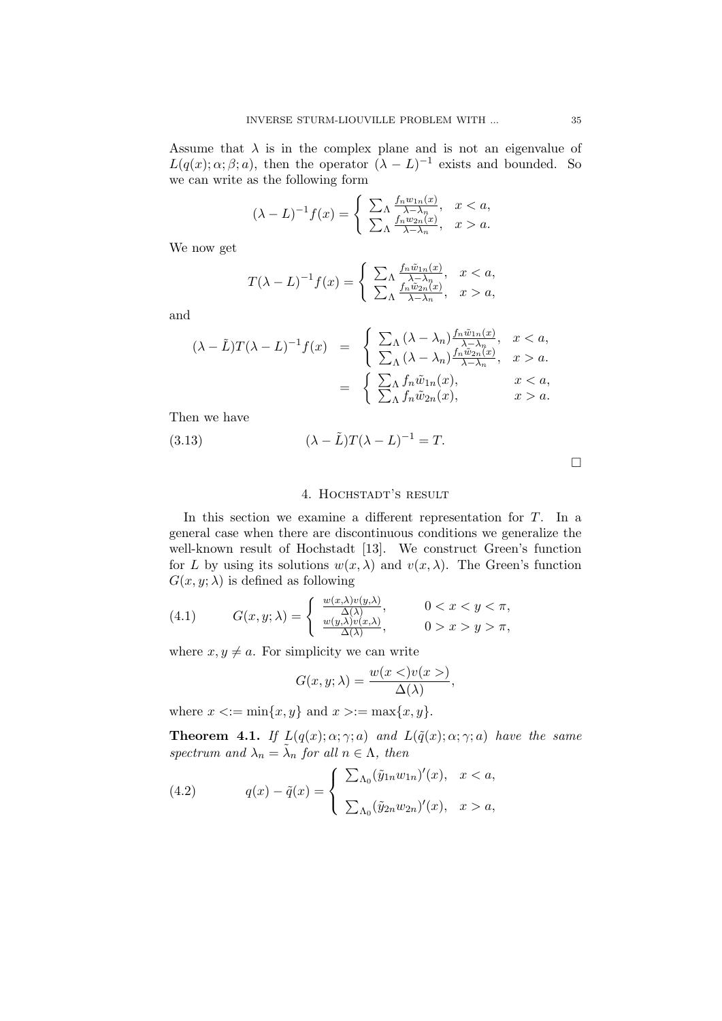Assume that  $\lambda$  is in the complex plane and is not an eigenvalue of  $L(q(x); \alpha; \beta; a)$ , then the operator  $(\lambda - L)^{-1}$  exists and bounded. So we can write as the following form

$$
(\lambda - L)^{-1} f(x) = \begin{cases} \sum_{\Lambda} \frac{f_n w_{1n}(x)}{\lambda - \lambda_n}, & x < a, \\ \sum_{\Lambda} \frac{f_n w_{2n}(x)}{\lambda - \lambda_n}, & x > a. \end{cases}
$$

We now get

$$
T(\lambda - L)^{-1} f(x) = \begin{cases} \sum_{\Lambda} \frac{f_n \tilde{w}_{1n}(x)}{\lambda - \lambda_n}, & x < a, \\ \sum_{\Lambda} \frac{f_n \tilde{w}_{2n}(x)}{\lambda - \lambda_n}, & x > a, \end{cases}
$$

and

$$
(\lambda - \tilde{L})T(\lambda - L)^{-1}f(x) = \begin{cases} \sum_{\Lambda} (\lambda - \lambda_n) \frac{f_n \tilde{w}_{1n}(x)}{\lambda - \lambda_n}, & x < a, \\ \sum_{\Lambda} (\lambda - \lambda_n) \frac{f_n \tilde{w}_{2n}(x)}{\lambda - \lambda_n}, & x > a. \end{cases}
$$

$$
= \begin{cases} \sum_{\Lambda} f_n \tilde{w}_{1n}(x), & x < a, \\ \sum_{\Lambda} f_n \tilde{w}_{2n}(x), & x > a. \end{cases}
$$

Then we have

(3.13) 
$$
(\lambda - \tilde{L})T(\lambda - L)^{-1} = T.
$$

 $\Box$ 

## 4. HOCHSTADT'S RESULT

In this section we examine a different representation for  $T$ . In a general case when there are discontinuous conditions we generalize the well-known result of Hochstadt [13]. We construct Green's function for L by using its solutions  $w(x, \lambda)$  and  $v(x, \lambda)$ . The Green's function  $G(x, y; \lambda)$  is defined as following

(4.1) 
$$
G(x, y; \lambda) = \begin{cases} \frac{w(x, \lambda)v(y, \lambda)}{\Delta(\lambda)}, & 0 < x < y < \pi, \\ \frac{w(y, \lambda)v(x, \lambda)}{\Delta(\lambda)}, & 0 > x > y > \pi, \end{cases}
$$

where  $x, y \neq a$ . For simplicity we can write

$$
G(x, y; \lambda) = \frac{w(x \leq) v(x >)}{\Delta(\lambda)},
$$

where  $x \leq := \min\{x, y\}$  and  $x \geq := \max\{x, y\}.$ 

**Theorem 4.1.** If  $L(q(x); \alpha; \gamma; a)$  and  $L(\tilde{q}(x); \alpha; \gamma; a)$  have the same spectrum and  $\lambda_n = \tilde{\lambda}_n$  for all  $n \in \Lambda$ , then

(4.2) 
$$
q(x) - \tilde{q}(x) = \begin{cases} \sum_{\Lambda_0} (\tilde{y}_{1n} w_{1n})'(x), & x < a, \\ \sum_{\Lambda_0} (\tilde{y}_{2n} w_{2n})'(x), & x > a, \end{cases}
$$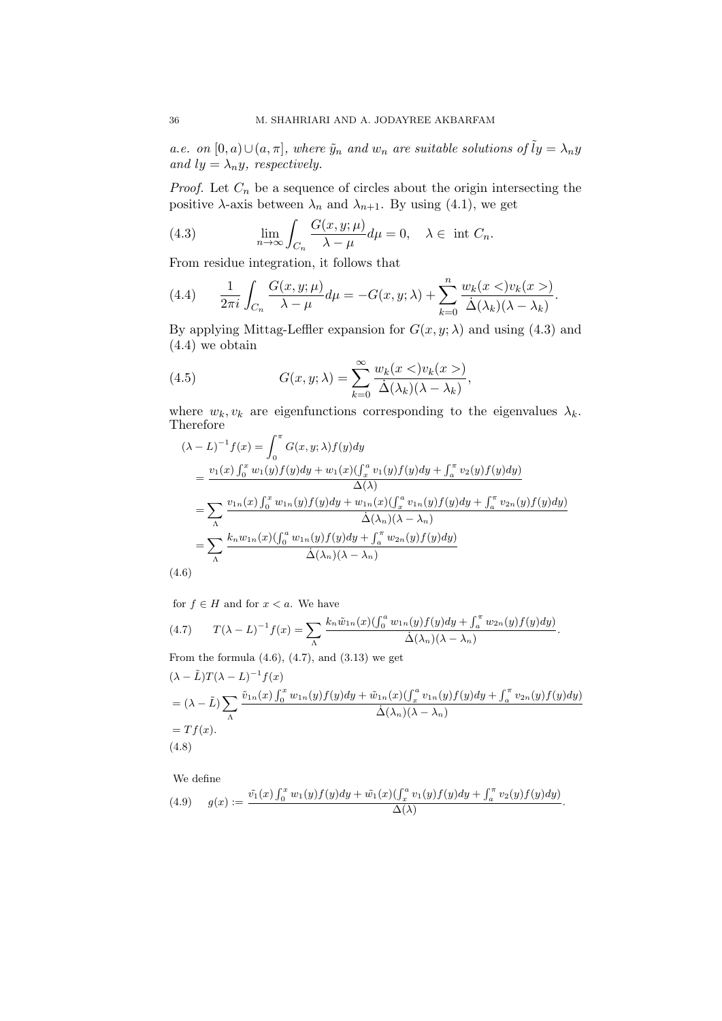a.e. on  $[0, a) \cup (a, \pi]$ , where  $\tilde{y}_n$  and  $w_n$  are suitable solutions of  $\tilde{I}y = \lambda_n y$ and  $ly = \lambda_n y$ , respectively.

*Proof.* Let  $C_n$  be a sequence of circles about the origin intersecting the positive  $\lambda$ -axis between  $\lambda_n$  and  $\lambda_{n+1}$ . By using (4.1), we get

(4.3) 
$$
\lim_{n \to \infty} \int_{C_n} \frac{G(x, y; \mu)}{\lambda - \mu} d\mu = 0, \quad \lambda \in \text{ int } C_n.
$$

From residue integration, it follows that

(4.4) 
$$
\frac{1}{2\pi i} \int_{C_n} \frac{G(x, y; \mu)}{\lambda - \mu} d\mu = -G(x, y; \lambda) + \sum_{k=0}^n \frac{w_k(x < v_k(x >))}{\dot{\Delta}(\lambda_k)(\lambda - \lambda_k)}.
$$

By applying Mittag-Leffler expansion for  $G(x, y; \lambda)$  and using (4.3) and (4.4) we obtain

(4.5) 
$$
G(x, y; \lambda) = \sum_{k=0}^{\infty} \frac{w_k(x <)v_k(x >)}{\dot{\Delta}(\lambda_k)(\lambda - \lambda_k)},
$$

where  $w_k, v_k$  are eigenfunctions corresponding to the eigenvalues  $\lambda_k$ . Therefore

$$
(\lambda - L)^{-1} f(x) = \int_0^{\pi} G(x, y; \lambda) f(y) dy
$$
  
\n
$$
= \frac{v_1(x) \int_0^x w_1(y) f(y) dy + w_1(x) (\int_x^a v_1(y) f(y) dy + \int_a^{\pi} v_2(y) f(y) dy)}{\Delta(\lambda)}
$$
  
\n
$$
= \sum_{\Lambda} \frac{v_{1n}(x) \int_0^x w_{1n}(y) f(y) dy + w_{1n}(x) (\int_x^a v_{1n}(y) f(y) dy + \int_a^{\pi} v_{2n}(y) f(y) dy)}{\Delta(\lambda_n)(\lambda - \lambda_n)}
$$
  
\n
$$
= \sum_{\Lambda} \frac{k_n w_{1n}(x) (\int_0^a w_{1n}(y) f(y) dy + \int_a^{\pi} w_{2n}(y) f(y) dy)}{\Delta(\lambda_n)(\lambda - \lambda_n)}
$$
  
\n(4.6)

for  $f \in H$  and for  $x < a$ . We have

(4.7) 
$$
T(\lambda - L)^{-1} f(x) = \sum_{\Lambda} \frac{k_n \tilde{w}_{1n}(x) \left( \int_0^a w_{1n}(y) f(y) dy + \int_a^{\pi} w_{2n}(y) f(y) dy \right)}{\dot{\Delta}(\lambda_n)(\lambda - \lambda_n)}.
$$

From the formula  $(4.6)$ ,  $(4.7)$ , and  $(3.13)$  we get

$$
(\lambda - \tilde{L})T(\lambda - L)^{-1}f(x)
$$
  
=  $(\lambda - \tilde{L})\sum_{\Lambda} \frac{\tilde{v}_{1n}(x)\int_0^x w_{1n}(y)f(y)dy + \tilde{w}_{1n}(x)(\int_x^a v_{1n}(y)f(y)dy + \int_a^{\pi} v_{2n}(y)f(y)dy}{\dot{\Delta}(\lambda_n)(\lambda - \lambda_n)}$   
=  $Tf(x)$ .  
(4.8)

We define

(4.9) 
$$
g(x) := \frac{\tilde{v_1}(x) \int_0^x w_1(y) f(y) dy + \tilde{w_1}(x) (\int_x^a v_1(y) f(y) dy + \int_a^x v_2(y) f(y) dy)}{\Delta(\lambda)}.
$$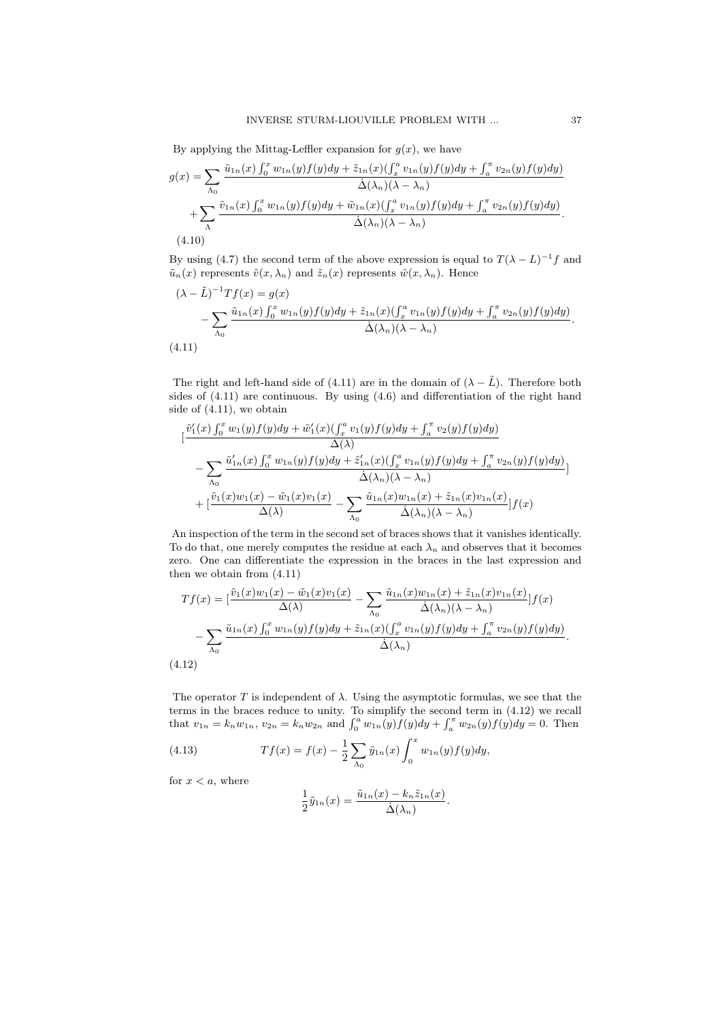By applying the Mittag-Leffler expansion for  $g(x)$ , we have

$$
g(x) = \sum_{\Lambda_0} \frac{\tilde{u}_{1n}(x) \int_0^x w_{1n}(y) f(y) dy + \tilde{z}_{1n}(x) (\int_x^a v_{1n}(y) f(y) dy + \int_a^{\pi} v_{2n}(y) f(y) dy)}{\dot{\Delta}(\lambda_n)(\lambda - \lambda_n)} + \sum_{\Lambda} \frac{\tilde{v}_{1n}(x) \int_0^x w_{1n}(y) f(y) dy + \tilde{w}_{1n}(x) (\int_x^a v_{1n}(y) f(y) dy + \int_a^{\pi} v_{2n}(y) f(y) dy)}{\dot{\Delta}(\lambda_n)(\lambda - \lambda_n)}.
$$
\n(4.10)

By using (4.7) the second term of the above expression is equal to  $T(\lambda - L)^{-1}f$  and  $\tilde{u}_n(x)$  represents  $\tilde{v}(x, \lambda_n)$  and  $\tilde{z}_n(x)$  represents  $\tilde{w}(x, \lambda_n)$ . Hence

$$
(\lambda - \tilde{L})^{-1}Tf(x) = g(x)
$$
  
 
$$
- \sum_{\Lambda_0} \frac{\tilde{u}_{1n}(x) \int_0^x w_{1n}(y) f(y) dy + \tilde{z}_{1n}(x) (\int_x^a v_{1n}(y) f(y) dy + \int_a^{\pi} v_{2n}(y) f(y) dy)}{\dot{\Delta}(\lambda_n)(\lambda - \lambda_n)}.
$$
  
(4.11)

The right and left-hand side of (4.11) are in the domain of  $(\lambda - \tilde{L})$ . Therefore both sides of (4.11) are continuous. By using (4.6) and differentiation of the right hand side of (4.11), we obtain

$$
\begin{split}\n&\left[\frac{\tilde{v}'_1(x)\int_0^x w_1(y)f(y)dy + \tilde{w}'_1(x)(\int_x^a v_1(y)f(y)dy + \int_a^{\pi} v_2(y)f(y)dy\right)}{\Delta(\lambda)} \\
&\quad - \sum_{\Lambda_0} \frac{\tilde{u}'_{1n}(x)\int_0^x w_{1n}(y)f(y)dy + \tilde{z}'_{1n}(x)(\int_x^a v_{1n}(y)f(y)dy + \int_a^{\pi} v_{2n}(y)f(y)dy\right)}{\Delta(\lambda_n)(\lambda - \lambda_n)} \\
&\quad + \left[\frac{\tilde{v}_1(x)w_1(x) - \tilde{w}_1(x)v_1(x)}{\Delta(\lambda)} - \sum_{\Lambda_0} \frac{\tilde{u}_{1n}(x)w_{1n}(x) + \tilde{z}_{1n}(x)v_{1n}(x)}{\Delta(\lambda_n)(\lambda - \lambda_n)}\right]f(x)\n\end{split}
$$

An inspection of the term in the second set of braces shows that it vanishes identically. To do that, one merely computes the residue at each  $\lambda_n$  and observes that it becomes zero. One can differentiate the expression in the braces in the last expression and then we obtain from (4.11)

$$
Tf(x) = \left[\frac{\tilde{v}_1(x)w_1(x) - \tilde{w}_1(x)v_1(x)}{\Delta(\lambda)} - \sum_{\Lambda_0} \frac{\tilde{u}_{1n}(x)w_{1n}(x) + \tilde{z}_{1n}(x)v_{1n}(x)}{\Delta(\lambda_n)(\lambda - \lambda_n)}\right]f(x) - \sum_{\Lambda_0} \frac{\tilde{u}_{1n}(x)\int_0^x w_{1n}(y)f(y)dy + \tilde{z}_{1n}(x)\left(\int_x^a v_{1n}(y)f(y)dy + \int_a^{\pi} v_{2n}(y)f(y)dy\right)}{\Delta(\lambda_n)}.
$$
\n(4.12)

The operator T is independent of  $\lambda$ . Using the asymptotic formulas, we see that the terms in the braces reduce to unity. To simplify the second term in (4.12) we recall that  $v_{1n} = k_n w_{1n}$ ,  $v_{2n} = k_n w_{2n}$  and  $\int_0^a w_{1n}(y) f(y) dy + \int_a^{\pi} w_{2n}(y) f(y) dy = 0$ . Then

(4.13) 
$$
Tf(x) = f(x) - \frac{1}{2} \sum_{\Lambda_0} \tilde{y}_{1n}(x) \int_0^x w_{1n}(y) f(y) dy,
$$

for  $x < a$ , where

$$
\frac{1}{2}\tilde{y}_{1n}(x) = \frac{\tilde{u}_{1n}(x) - k_n \tilde{z}_{1n}(x)}{\dot{\Delta}(\lambda_n)}.
$$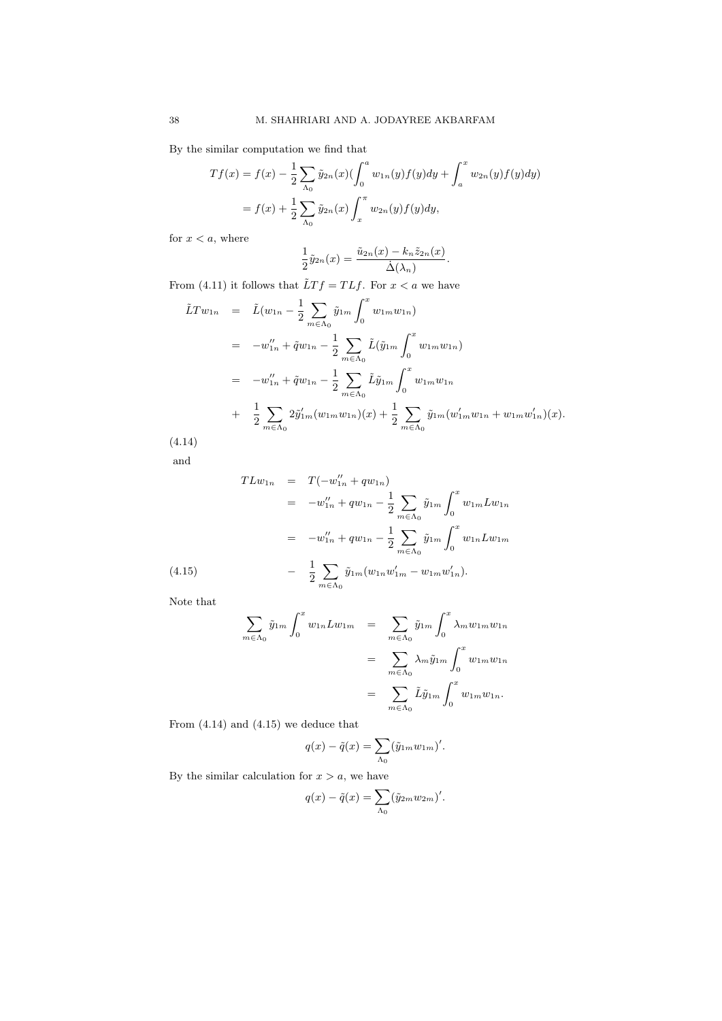By the similar computation we find that

$$
Tf(x) = f(x) - \frac{1}{2} \sum_{\Lambda_0} \tilde{y}_{2n}(x) \left( \int_0^a w_{1n}(y) f(y) dy + \int_a^x w_{2n}(y) f(y) dy \right)
$$
  
=  $f(x) + \frac{1}{2} \sum_{\Lambda_0} \tilde{y}_{2n}(x) \int_x^{\pi} w_{2n}(y) f(y) dy,$ 

for  $x < a$ , where

$$
\frac{1}{2}\tilde{y}_{2n}(x) = \frac{\tilde{u}_{2n}(x) - k_n \tilde{z}_{2n}(x)}{\dot{\Delta}(\lambda_n)}.
$$

From (4.11) it follows that  $\tilde{L}Tf = TLf$ . For  $x < a$  we have

$$
\tilde{L}Tw_{1n} = \tilde{L}(w_{1n} - \frac{1}{2} \sum_{m \in \Lambda_0} \tilde{y}_{1m} \int_0^x w_{1m} w_{1n})
$$
\n
$$
= -w''_{1n} + \tilde{q}w_{1n} - \frac{1}{2} \sum_{m \in \Lambda_0} \tilde{L}(\tilde{y}_{1m} \int_0^x w_{1m} w_{1n})
$$
\n
$$
= -w''_{1n} + \tilde{q}w_{1n} - \frac{1}{2} \sum_{m \in \Lambda_0} \tilde{L}\tilde{y}_{1m} \int_0^x w_{1m} w_{1n}
$$
\n
$$
+ \frac{1}{2} \sum_{m \in \Lambda_0} 2\tilde{y}'_{1m}(w_{1m} w_{1n})(x) + \frac{1}{2} \sum_{m \in \Lambda_0} \tilde{y}_{1m}(w'_{1m} w_{1n} + w_{1m} w'_{1n})(x).
$$
\n(4.14)

and

$$
TLw_{1n} = T(-w_{1n}'' + qw_{1n})
$$
  
\n
$$
= -w_{1n}'' + qw_{1n} - \frac{1}{2} \sum_{m \in \Lambda_0} \tilde{y}_{1m} \int_0^x w_{1m} Lw_{1n}
$$
  
\n
$$
= -w_{1n}'' + qw_{1n} - \frac{1}{2} \sum_{m \in \Lambda_0} \tilde{y}_{1m} \int_0^x w_{1n} Lw_{1m}
$$
  
\n(4.15) 
$$
- \frac{1}{2} \sum_{m \in \Lambda_0} \tilde{y}_{1m} (w_{1n} w_{1m}' - w_{1m} w_{1n}').
$$

Note that

$$
\sum_{m \in \Lambda_0} \tilde{y}_{1m} \int_0^x w_{1n} L w_{1m} = \sum_{m \in \Lambda_0} \tilde{y}_{1m} \int_0^x \lambda_m w_{1m} w_{1n}
$$
  

$$
= \sum_{m \in \Lambda_0} \lambda_m \tilde{y}_{1m} \int_0^x w_{1m} w_{1n}
$$
  

$$
= \sum_{m \in \Lambda_0} \tilde{L} \tilde{y}_{1m} \int_0^x w_{1m} w_{1n}.
$$

From (4.14) and (4.15) we deduce that

$$
q(x) - \tilde{q}(x) = \sum_{\Lambda_0} (\tilde{y}_{1m} w_{1m})'.
$$

By the similar calculation for  $x > a$ , we have

$$
q(x) - \tilde{q}(x) = \sum_{\Lambda_0} (\tilde{y}_{2m} w_{2m})'.
$$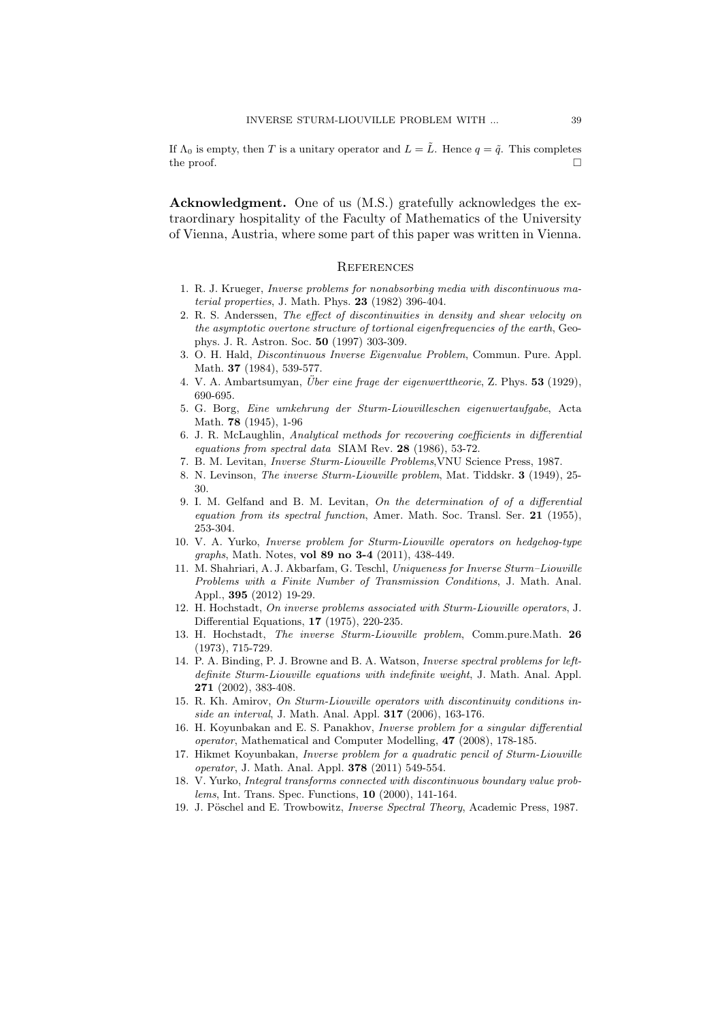If  $\Lambda_0$  is empty, then T is a unitary operator and  $L = \tilde{L}$ . Hence  $q = \tilde{q}$ . This completes the proof.  $\Box$ 

Acknowledgment. One of us (M.S.) gratefully acknowledges the extraordinary hospitality of the Faculty of Mathematics of the University of Vienna, Austria, where some part of this paper was written in Vienna.

#### **REFERENCES**

- 1. R. J. Krueger, Inverse problems for nonabsorbing media with discontinuous material properties, J. Math. Phys. 23 (1982) 396-404.
- 2. R. S. Anderssen, The effect of discontinuities in density and shear velocity on the asymptotic overtone structure of tortional eigenfrequencies of the earth, Geophys. J. R. Astron. Soc. 50 (1997) 303-309.
- 3. O. H. Hald, Discontinuous Inverse Eigenvalue Problem, Commun. Pure. Appl. Math. 37 (1984), 539-577.
- 4. V. A. Ambartsumyan, *Über eine frage der eigenwerttheorie*, Z. Phys.  $53$  (1929), 690-695.
- 5. G. Borg, Eine umkehrung der Sturm-Liouvilleschen eigenwertaufgabe, Acta Math. 78 (1945), 1-96
- 6. J. R. McLaughlin, Analytical methods for recovering coefficients in differential equations from spectral data SIAM Rev. 28 (1986), 53-72.
- 7. B. M. Levitan, Inverse Sturm-Liouville Problems,VNU Science Press, 1987.
- 8. N. Levinson, The inverse Sturm-Liouville problem, Mat. Tiddskr. 3 (1949), 25- 30.
- 9. I. M. Gelfand and B. M. Levitan, On the determination of of a differential equation from its spectral function, Amer. Math. Soc. Transl. Ser. 21 (1955), 253-304.
- 10. V. A. Yurko, Inverse problem for Sturm-Liouville operators on hedgehog-type graphs, Math. Notes, vol 89 no 3-4 (2011), 438-449.
- 11. M. Shahriari, A. J. Akbarfam, G. Teschl, Uniqueness for Inverse Sturm–Liouville Problems with a Finite Number of Transmission Conditions, J. Math. Anal. Appl., 395 (2012) 19-29.
- 12. H. Hochstadt, On inverse problems associated with Sturm-Liouville operators, J. Differential Equations, 17 (1975), 220-235.
- 13. H. Hochstadt, The inverse Sturm-Liouville problem, Comm.pure.Math. 26 (1973), 715-729.
- 14. P. A. Binding, P. J. Browne and B. A. Watson, Inverse spectral problems for leftdefinite Sturm-Liouville equations with indefinite weight, J. Math. Anal. Appl. 271 (2002), 383-408.
- 15. R. Kh. Amirov, On Sturm-Liouville operators with discontinuity conditions inside an interval, J. Math. Anal. Appl. 317 (2006), 163-176.
- 16. H. Koyunbakan and E. S. Panakhov, Inverse problem for a singular differential operator, Mathematical and Computer Modelling, 47 (2008), 178-185.
- 17. Hikmet Koyunbakan, Inverse problem for a quadratic pencil of Sturm-Liouville operator, J. Math. Anal. Appl. 378 (2011) 549-554.
- 18. V. Yurko, Integral transforms connected with discontinuous boundary value problems, Int. Trans. Spec. Functions, 10 (2000), 141-164.
- 19. J. Pöschel and E. Trowbowitz, *Inverse Spectral Theory*, Academic Press, 1987.